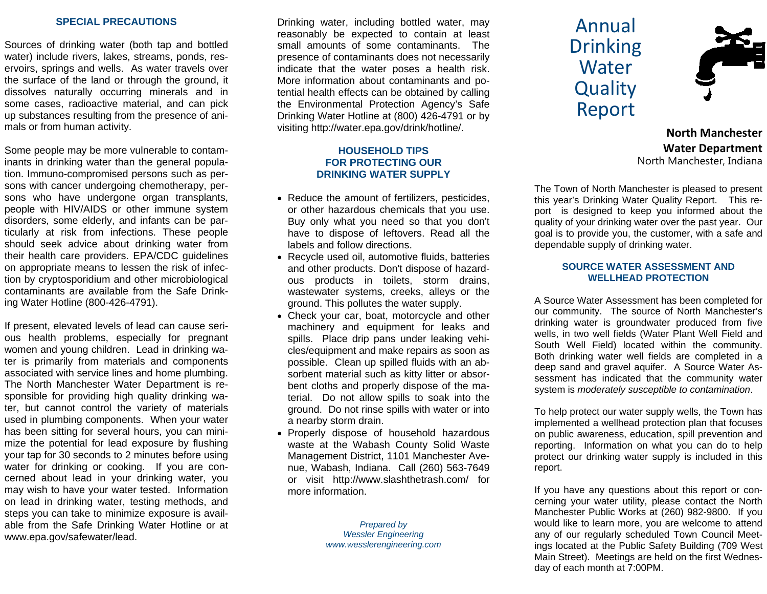#### **SPECIAL PRECAUTIONS**

Sources of drinking water (both tap and bottled water) include rivers, lakes, streams, ponds, reservoirs, springs and wells. As water travels over the surface of the land or through the ground, it dissolves naturally occurring minerals and in some cases, radioactive material, and can pick up substances resulting from the presence of animals or from human activity.

Some people may be more vulnerable to contaminants in drinking water than the general population. Immuno-compromised persons such as persons with cancer undergoing chemotherapy, persons who have undergone organ transplants, people with HIV/AIDS or other immune system disorders, some elderly, and infants can be particularly at risk from infections. These people should seek advice about drinking water from their health care providers. EPA/CDC guidelines on appropriate means to lessen the risk of infection by cryptosporidium and other microbiological contaminants are available from the Safe Drinking Water Hotline (800-426-4791).

If present, elevated levels of lead can cause serious health problems, especially for pregnant women and young children. Lead in drinking water is primarily from materials and components associated with service lines and home plumbing. The North Manchester Water Department is responsible for providing high quality drinking water, but cannot control the variety of materials used in plumbing components. When your water has been sitting for several hours, you can minimize the potential for lead exposure by flushing your tap for 30 seconds to 2 minutes before using water for drinking or cooking. If you are concerned about lead in your drinking water, you may wish to have your water tested. Information on lead in drinking water, testing methods, and steps you can take to minimize exposure is available from the Safe Drinking Water Hotline or at www.epa.gov/safewater/lead.

Drinking water, including bottled water, may reasonably be expected to contain at least small amounts of some contaminants. The presence of contaminants does not necessarily indicate that the water poses a health risk. More information about contaminants and potential health effects can be obtained by calling the Environmental Protection Agency's Safe Drinking Water Hotline at (800) 426-4791 or by visiting http://water.epa.gov/drink/hotline/.

### **HOUSEHOLD TIPS FOR PROTECTING OUR DRINKING WATER SUPPLY**

- Reduce the amount of fertilizers, pesticides, or other hazardous chemicals that you use. Buy only what you need so that you don't have to dispose of leftovers. Read all the labels and follow directions.
- Recycle used oil, automotive fluids, batteries and other products. Don't dispose of hazardous products in toilets, storm drains, wastewater systems, creeks, alleys or the ground. This pollutes the water supply.
- Check your car, boat, motorcycle and other machinery and equipment for leaks and spills. Place drip pans under leaking vehicles/equipment and make repairs as soon as possible. Clean up spilled fluids with an absorbent material such as kitty litter or absorbent cloths and properly dispose of the material. Do not allow spills to soak into the ground. Do not rinse spills with water or into a nearby storm drain.
- Properly dispose of household hazardous waste at the Wabash County Solid Waste Management District, 1101 Manchester Avenue, Wabash, Indiana. Call (260) 563-7649 or visit http://www.slashthetrash.com/ for more information.

*Prepared by Wessler Engineering www.wesslerengineering.com* 

# AnnualDrinking **Water Quality** Report



**North Manchester Water Department** North Manchester, Indiana

The Town of North Manchester is pleased to present this year's Drinking Water Quality Report. This report is designed to keep you informed about the quality of your drinking water over the past year. Our goal is to provide you, the customer, with a safe and dependable supply of drinking water.

#### **SOURCE WATER ASSESSMENT AND WELLHEAD PROTECTION**

A Source Water Assessment has been completed for our community. The source of North Manchester's drinking water is groundwater produced from five wells, in two well fields (Water Plant Well Field and South Well Field) located within the community. Both drinking water well fields are completed in a deep sand and gravel aquifer. A Source Water Assessment has indicated that the community water system is *moderately susceptible to contamination*.

To help protect our water supply wells, the Town has implemented a wellhead protection plan that focuses on public awareness, education, spill prevention and reporting. Information on what you can do to help protect our drinking water supply is included in this report.

If you have any questions about this report or concerning your water utility, please contact the North Manchester Public Works at (260) 982-9800. If you would like to learn more, you are welcome to attend any of our regularly scheduled Town Council Meetings located at the Public Safety Building (709 West Main Street). Meetings are held on the first Wednesday of each month at 7:00PM.